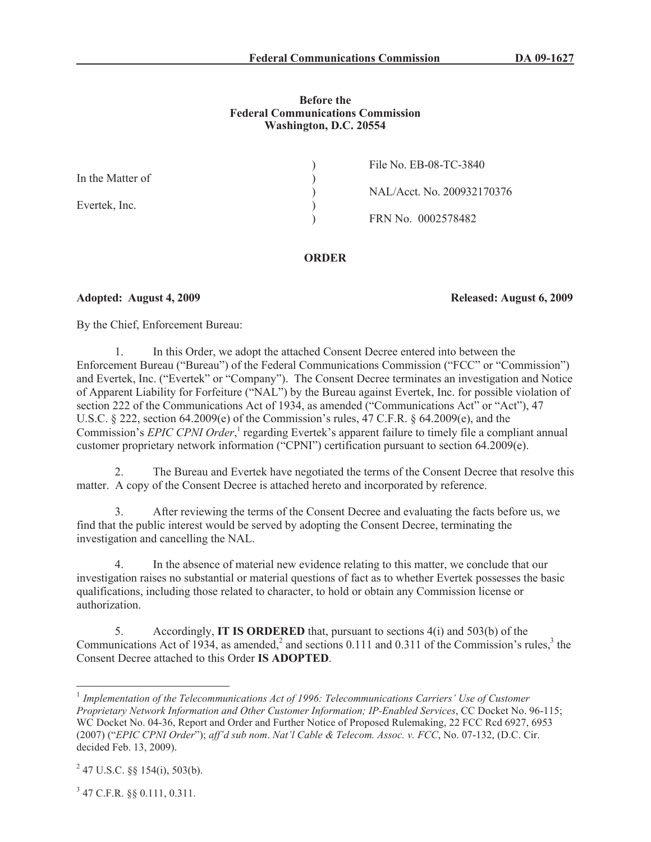### **Before the Federal Communications Commission Washington, D.C. 20554**

|                  | File No. EB-08-TC-3840     |
|------------------|----------------------------|
| In the Matter of |                            |
|                  | NAL/Acct. No. 200932170376 |
| Evertek, Inc.    |                            |
|                  | FRN No. 0002578482         |
|                  |                            |

# **ORDER**

## **Adopted: August 4, 2009 Released: August 6, 2009**

By the Chief, Enforcement Bureau:

1. In this Order, we adopt the attached Consent Decree entered into between the Enforcement Bureau ("Bureau") of the Federal Communications Commission ("FCC" or "Commission") and Evertek, Inc. ("Evertek" or "Company"). The Consent Decree terminates an investigation and Notice of Apparent Liability for Forfeiture ("NAL") by the Bureau against Evertek, Inc. for possible violation of section 222 of the Communications Act of 1934, as amended ("Communications Act" or "Act"), 47 U.S.C. § 222, section 64.2009(e) of the Commission's rules, 47 C.F.R. § 64.2009(e), and the Commission's *EPIC CPNI Order*,<sup>1</sup> regarding Evertek's apparent failure to timely file a compliant annual customer proprietary network information ("CPNI") certification pursuant to section 64.2009(e).

2. The Bureau and Evertek have negotiated the terms of the Consent Decree that resolve this matter. A copy of the Consent Decree is attached hereto and incorporated by reference.

3. After reviewing the terms of the Consent Decree and evaluating the facts before us, we find that the public interest would be served by adopting the Consent Decree, terminating the investigation and cancelling the NAL.

4. In the absence of material new evidence relating to this matter, we conclude that our investigation raises no substantial or material questions of fact as to whether Evertek possesses the basic qualifications, including those related to character, to hold or obtain any Commission license or authorization.

5. Accordingly, **IT IS ORDERED** that, pursuant to sections 4(i) and 503(b) of the Communications Act of 1934, as amended,<sup>2</sup> and sections 0.111 and 0.311 of the Commission's rules,<sup>3</sup> the Consent Decree attached to this Order **IS ADOPTED**.

3 47 C.F.R. §§ 0.111, 0.311.

<sup>&</sup>lt;sup>1</sup> Implementation of the Telecommunications Act of 1996: Telecommunications Carriers' Use of Customer *Proprietary Network Information and Other Customer Information; IP-Enabled Services*, CC Docket No. 96-115; WC Docket No. 04-36, Report and Order and Further Notice of Proposed Rulemaking, 22 FCC Rcd 6927, 6953 (2007) ("*EPIC CPNI Order*"); *aff'd sub nom*. *Nat'l Cable & Telecom. Assoc. v. FCC*, No. 07-132, (D.C. Cir. decided Feb. 13, 2009).

 $^{2}$  47 U.S.C. §§ 154(i), 503(b).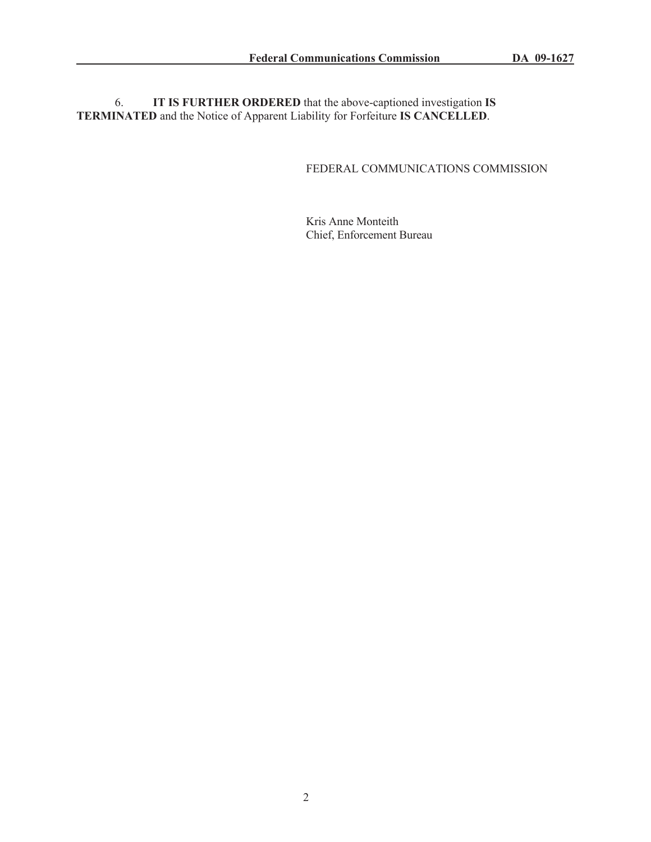6. **IT IS FURTHER ORDERED** that the above-captioned investigation **IS TERMINATED** and the Notice of Apparent Liability for Forfeiture **IS CANCELLED**.

# FEDERAL COMMUNICATIONS COMMISSION

Kris Anne Monteith Chief, Enforcement Bureau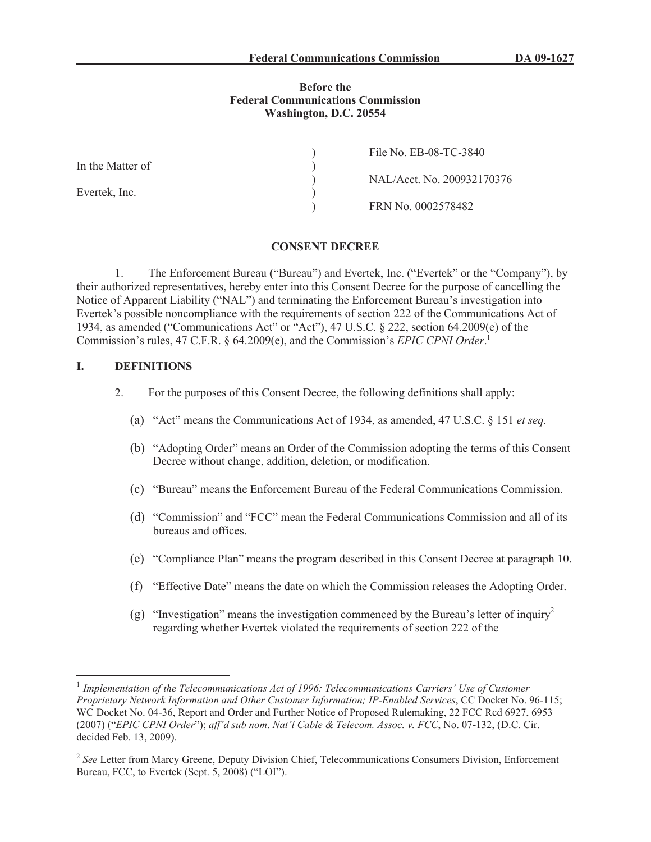#### **Before the Federal Communications Commission Washington, D.C. 20554**

|                  | File No. EB-08-TC-3840     |
|------------------|----------------------------|
| In the Matter of |                            |
|                  | NAL/Acct. No. 200932170376 |
| Evertek, Inc.    |                            |
|                  | FRN No. 0002578482         |

#### **CONSENT DECREE**

1. The Enforcement Bureau **(**"Bureau") and Evertek, Inc. ("Evertek" or the "Company"), by their authorized representatives, hereby enter into this Consent Decree for the purpose of cancelling the Notice of Apparent Liability ("NAL") and terminating the Enforcement Bureau's investigation into Evertek's possible noncompliance with the requirements of section 222 of the Communications Act of 1934, as amended ("Communications Act" or "Act"), 47 U.S.C. § 222, section 64.2009(e) of the Commission's rules, 47 C.F.R. § 64.2009(e), and the Commission's *EPIC CPNI Order*. 1

#### **I. DEFINITIONS**

- 2. For the purposes of this Consent Decree, the following definitions shall apply:
	- (a) "Act" means the Communications Act of 1934, as amended, 47 U.S.C. § 151 *et seq.*
	- (b) "Adopting Order" means an Order of the Commission adopting the terms of this Consent Decree without change, addition, deletion, or modification.
	- (c) "Bureau" means the Enforcement Bureau of the Federal Communications Commission.
	- (d) "Commission" and "FCC" mean the Federal Communications Commission and all of its bureaus and offices.
	- (e) "Compliance Plan" means the program described in this Consent Decree at paragraph 10.
	- (f) "Effective Date" means the date on which the Commission releases the Adopting Order.
	- (g) "Investigation" means the investigation commenced by the Bureau's letter of inquiry<sup>2</sup> regarding whether Evertek violated the requirements of section 222 of the

<sup>&</sup>lt;sup>1</sup> Implementation of the Telecommunications Act of 1996: Telecommunications Carriers' Use of Customer *Proprietary Network Information and Other Customer Information; IP-Enabled Services*, CC Docket No. 96-115; WC Docket No. 04-36, Report and Order and Further Notice of Proposed Rulemaking, 22 FCC Rcd 6927, 6953 (2007) ("*EPIC CPNI Order*"); *aff'd sub nom*. *Nat'l Cable & Telecom. Assoc. v. FCC*, No. 07-132, (D.C. Cir. decided Feb. 13, 2009).

<sup>&</sup>lt;sup>2</sup> See Letter from Marcy Greene, Deputy Division Chief, Telecommunications Consumers Division, Enforcement Bureau, FCC, to Evertek (Sept. 5, 2008) ("LOI").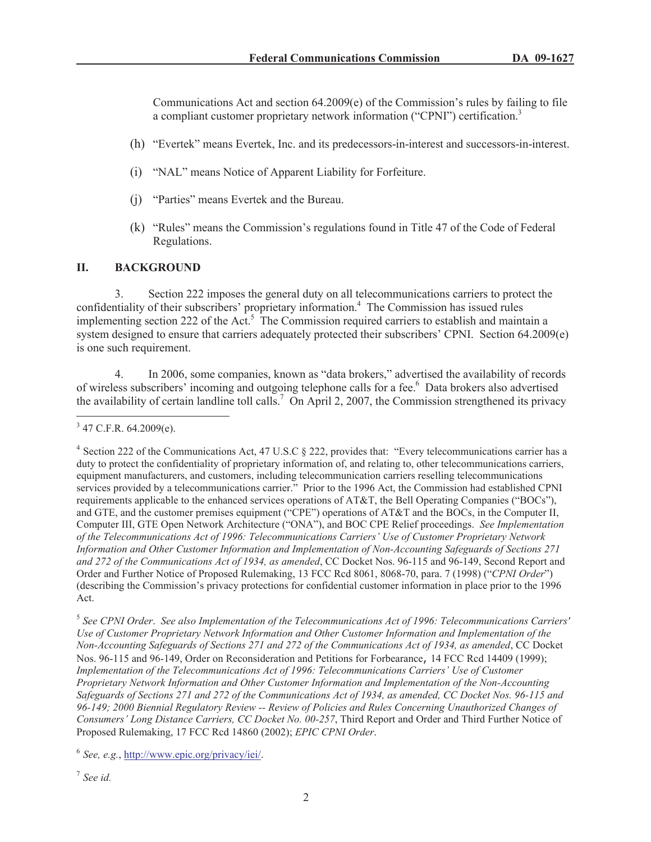Communications Act and section  $64.2009(e)$  of the Commission's rules by failing to file a compliant customer proprietary network information ("CPNI") certification.<sup>3</sup>

- (h) "Evertek" means Evertek, Inc. and its predecessors-in-interest and successors-in-interest.
- (i) "NAL" means Notice of Apparent Liability for Forfeiture.
- (j) "Parties" means Evertek and the Bureau.
- (k) "Rules" means the Commission's regulations found in Title 47 of the Code of Federal Regulations.

#### **II. BACKGROUND**

3. Section 222 imposes the general duty on all telecommunications carriers to protect the confidentiality of their subscribers' proprietary information.<sup>4</sup> The Commission has issued rules implementing section 222 of the Act.<sup>5</sup> The Commission required carriers to establish and maintain a system designed to ensure that carriers adequately protected their subscribers' CPNI. Section 64.2009(e) is one such requirement.

4. In 2006, some companies, known as "data brokers," advertised the availability of records of wireless subscribers' incoming and outgoing telephone calls for a fee.<sup>6</sup> Data brokers also advertised the availability of certain landline toll calls.<sup>7</sup> On April 2, 2007, the Commission strengthened its privacy

5 *See CPNI Order*. *See also Implementation of the Telecommunications Act of 1996: Telecommunications Carriers' Use of Customer Proprietary Network Information and Other Customer Information and Implementation of the Non-Accounting Safeguards of Sections 271 and 272 of the Communications Act of 1934, as amended*, CC Docket Nos. 96-115 and 96-149, Order on Reconsideration and Petitions for Forbearance, 14 FCC Rcd 14409 (1999); *Implementation of the Telecommunications Act of 1996: Telecommunications Carriers' Use of Customer Proprietary Network Information and Other Customer Information and Implementation of the Non-Accounting Safeguards of Sections 271 and 272 of the Communications Act of 1934, as amended, CC Docket Nos. 96-115 and 96-149; 2000 Biennial Regulatory Review -- Review of Policies and Rules Concerning Unauthorized Changes of Consumers' Long Distance Carriers, CC Docket No. 00-257*, Third Report and Order and Third Further Notice of Proposed Rulemaking, 17 FCC Rcd 14860 (2002); *EPIC CPNI Order*.

6 *See, e.g.*, http://www.epic.org/privacy/iei/.

7 *See id.*

 $3$  47 C.F.R. 64.2009(e).

<sup>&</sup>lt;sup>4</sup> Section 222 of the Communications Act, 47 U.S.C § 222, provides that: "Every telecommunications carrier has a duty to protect the confidentiality of proprietary information of, and relating to, other telecommunications carriers, equipment manufacturers, and customers, including telecommunication carriers reselling telecommunications services provided by a telecommunications carrier." Prior to the 1996 Act, the Commission had established CPNI requirements applicable to the enhanced services operations of AT&T, the Bell Operating Companies ("BOCs"), and GTE, and the customer premises equipment ("CPE") operations of AT&T and the BOCs, in the Computer II, Computer III, GTE Open Network Architecture ("ONA"), and BOC CPE Relief proceedings. *See Implementation of the Telecommunications Act of 1996: Telecommunications Carriers' Use of Customer Proprietary Network Information and Other Customer Information and Implementation of Non-Accounting Safeguards of Sections 271 and 272 of the Communications Act of 1934, as amended*, CC Docket Nos. 96-115 and 96-149, Second Report and Order and Further Notice of Proposed Rulemaking, 13 FCC Rcd 8061, 8068-70, para. 7 (1998) ("*CPNI Order*") (describing the Commission's privacy protections for confidential customer information in place prior to the 1996 Act.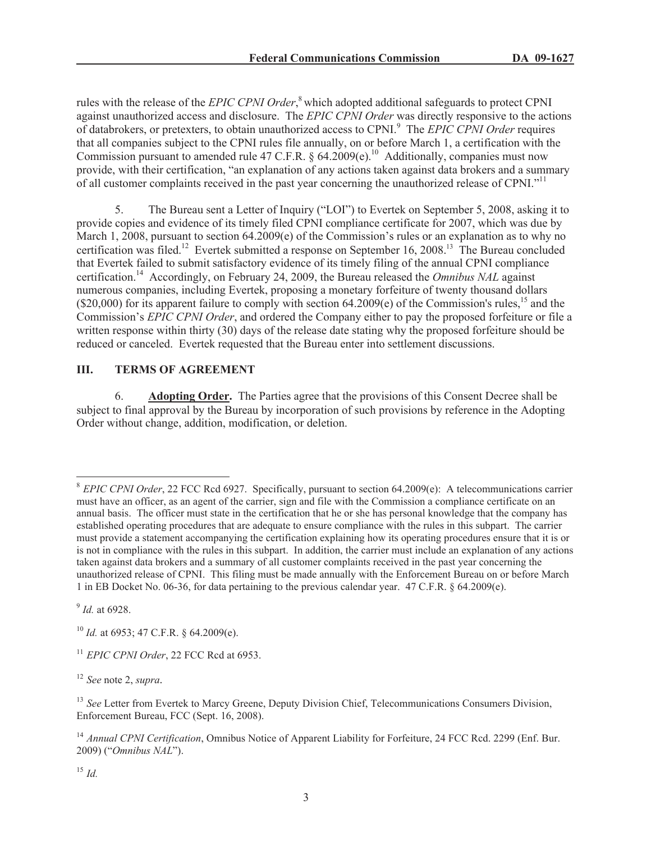rules with the release of the *EPIC CPNI Order*, <sup>8</sup> which adopted additional safeguards to protect CPNI against unauthorized access and disclosure. The *EPIC CPNI Order* was directly responsive to the actions of databrokers, or pretexters, to obtain unauthorized access to CPNI.<sup>9</sup> The *EPIC CPNI Order* requires that all companies subject to the CPNI rules file annually, on or before March 1, a certification with the Commission pursuant to amended rule 47 C.F.R. §  $64.2009(e)$ .<sup>10</sup> Additionally, companies must now provide, with their certification, "an explanation of any actions taken against data brokers and a summary of all customer complaints received in the past year concerning the unauthorized release of CPNI."<sup>11</sup>

5. The Bureau sent a Letter of Inquiry ("LOI") to Evertek on September 5, 2008, asking it to provide copies and evidence of its timely filed CPNI compliance certificate for 2007, which was due by March 1, 2008, pursuant to section 64.2009(e) of the Commission's rules or an explanation as to why no certification was filed.<sup>12</sup> Evertek submitted a response on September 16, 2008.<sup>13</sup> The Bureau concluded that Evertek failed to submit satisfactory evidence of its timely filing of the annual CPNI compliance certification.<sup>14</sup> Accordingly, on February 24, 2009, the Bureau released the *Omnibus NAL* against numerous companies, including Evertek, proposing a monetary forfeiture of twenty thousand dollars  $(20,000)$  for its apparent failure to comply with section 64.2009(e) of the Commission's rules,<sup>15</sup> and the Commission's *EPIC CPNI Order*, and ordered the Company either to pay the proposed forfeiture or file a written response within thirty (30) days of the release date stating why the proposed forfeiture should be reduced or canceled. Evertek requested that the Bureau enter into settlement discussions.

# **III. TERMS OF AGREEMENT**

6. **Adopting Order.** The Parties agree that the provisions of this Consent Decree shall be subject to final approval by the Bureau by incorporation of such provisions by reference in the Adopting Order without change, addition, modification, or deletion.

9 *Id.* at 6928.

<sup>12</sup> *See* note 2, *supra.*

<sup>&</sup>lt;sup>8</sup> *EPIC CPNI Order*, 22 FCC Rcd 6927. Specifically, pursuant to section 64.2009(e): A telecommunications carrier must have an officer, as an agent of the carrier, sign and file with the Commission a compliance certificate on an annual basis. The officer must state in the certification that he or she has personal knowledge that the company has established operating procedures that are adequate to ensure compliance with the rules in this subpart. The carrier must provide a statement accompanying the certification explaining how its operating procedures ensure that it is or is not in compliance with the rules in this subpart. In addition, the carrier must include an explanation of any actions taken against data brokers and a summary of all customer complaints received in the past year concerning the unauthorized release of CPNI. This filing must be made annually with the Enforcement Bureau on or before March 1 in EB Docket No. 06-36, for data pertaining to the previous calendar year. 47 C.F.R. § 64.2009(e).

<sup>10</sup> *Id.* at 6953; 47 C.F.R. § 64.2009(e).

<sup>&</sup>lt;sup>11</sup> *EPIC CPNI Order*, 22 FCC Rcd at 6953.

<sup>&</sup>lt;sup>13</sup> See Letter from Evertek to Marcy Greene, Deputy Division Chief, Telecommunications Consumers Division, Enforcement Bureau, FCC (Sept. 16, 2008).

<sup>&</sup>lt;sup>14</sup> *Annual CPNI Certification*, Omnibus Notice of Apparent Liability for Forfeiture, 24 FCC Rcd. 2299 (Enf. Bur. 2009) ("*Omnibus NAL*").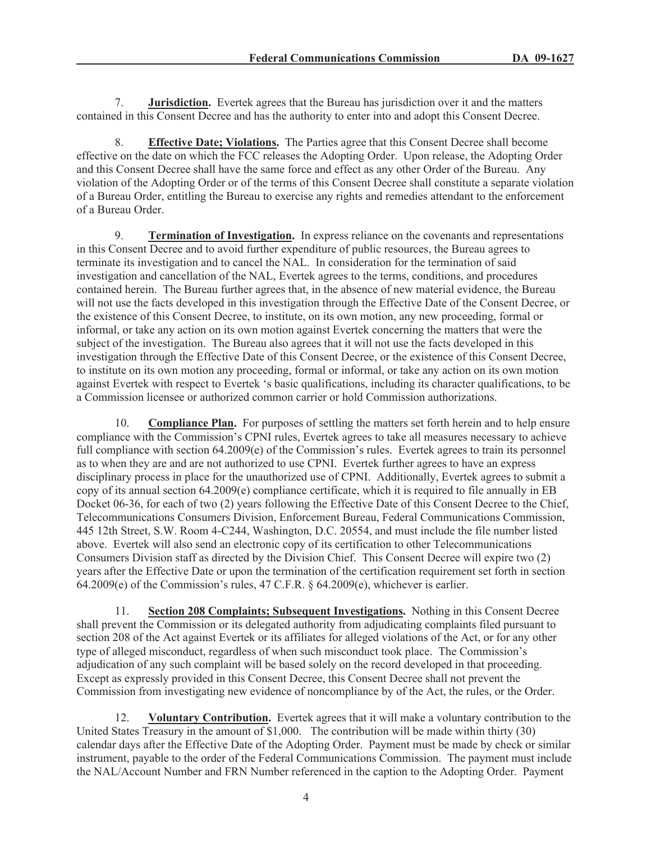7. **Jurisdiction.** Evertek agrees that the Bureau has jurisdiction over it and the matters contained in this Consent Decree and has the authority to enter into and adopt this Consent Decree.

8. **Effective Date; Violations.** The Parties agree that this Consent Decree shall become effective on the date on which the FCC releases the Adopting Order. Upon release, the Adopting Order and this Consent Decree shall have the same force and effect as any other Order of the Bureau. Any violation of the Adopting Order or of the terms of this Consent Decree shall constitute a separate violation of a Bureau Order, entitling the Bureau to exercise any rights and remedies attendant to the enforcement of a Bureau Order.

9. **Termination of Investigation.** In express reliance on the covenants and representations in this Consent Decree and to avoid further expenditure of public resources, the Bureau agrees to terminate its investigation and to cancel the NAL. In consideration for the termination of said investigation and cancellation of the NAL, Evertek agrees to the terms, conditions, and procedures contained herein. The Bureau further agrees that, in the absence of new material evidence, the Bureau will not use the facts developed in this investigation through the Effective Date of the Consent Decree, or the existence of this Consent Decree, to institute, on its own motion, any new proceeding, formal or informal, or take any action on its own motion against Evertek concerning the matters that were the subject of the investigation. The Bureau also agrees that it will not use the facts developed in this investigation through the Effective Date of this Consent Decree, or the existence of this Consent Decree, to institute on its own motion any proceeding, formal or informal, or take any action on its own motion against Evertek with respect to Evertek 's basic qualifications, including its character qualifications, to be a Commission licensee or authorized common carrier or hold Commission authorizations.

10. **Compliance Plan.** For purposes of settling the matters set forth herein and to help ensure compliance with the Commission's CPNI rules, Evertek agrees to take all measures necessary to achieve full compliance with section 64.2009(e) of the Commission's rules. Evertek agrees to train its personnel as to when they are and are not authorized to use CPNI. Evertek further agrees to have an express disciplinary process in place for the unauthorized use of CPNI. Additionally, Evertek agrees to submit a copy of its annual section 64.2009(e) compliance certificate, which it is required to file annually in EB Docket 06-36, for each of two (2) years following the Effective Date of this Consent Decree to the Chief, Telecommunications Consumers Division, Enforcement Bureau, Federal Communications Commission, 445 12th Street, S.W. Room 4-C244, Washington, D.C. 20554, and must include the file number listed above. Evertek will also send an electronic copy of its certification to other Telecommunications Consumers Division staff as directed by the Division Chief. This Consent Decree will expire two (2) years after the Effective Date or upon the termination of the certification requirement set forth in section 64.2009(e) of the Commission's rules, 47 C.F.R. § 64.2009(e), whichever is earlier.

11. **Section 208 Complaints; Subsequent Investigations.** Nothing in this Consent Decree shall prevent the Commission or its delegated authority from adjudicating complaints filed pursuant to section 208 of the Act against Evertek or its affiliates for alleged violations of the Act, or for any other type of alleged misconduct, regardless of when such misconduct took place. The Commission's adjudication of any such complaint will be based solely on the record developed in that proceeding. Except as expressly provided in this Consent Decree, this Consent Decree shall not prevent the Commission from investigating new evidence of noncompliance by of the Act, the rules, or the Order.

12. **Voluntary Contribution.** Evertek agrees that it will make a voluntary contribution to the United States Treasury in the amount of \$1,000. The contribution will be made within thirty (30) calendar days after the Effective Date of the Adopting Order. Payment must be made by check or similar instrument, payable to the order of the Federal Communications Commission. The payment must include the NAL/Account Number and FRN Number referenced in the caption to the Adopting Order. Payment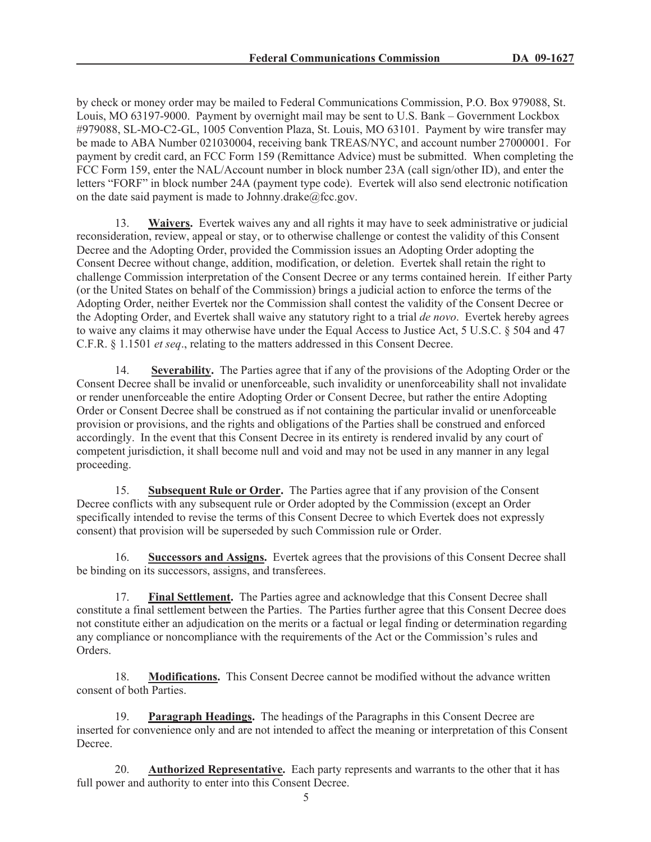by check or money order may be mailed to Federal Communications Commission, P.O. Box 979088, St. Louis, MO 63197-9000. Payment by overnight mail may be sent to U.S. Bank – Government Lockbox #979088, SL-MO-C2-GL, 1005 Convention Plaza, St. Louis, MO 63101. Payment by wire transfer may be made to ABA Number 021030004, receiving bank TREAS/NYC, and account number 27000001. For payment by credit card, an FCC Form 159 (Remittance Advice) must be submitted. When completing the FCC Form 159, enter the NAL/Account number in block number 23A (call sign/other ID), and enter the letters "FORF" in block number 24A (payment type code). Evertek will also send electronic notification on the date said payment is made to Johnny.drake $@$ fcc.gov.

13. **Waivers.** Evertek waives any and all rights it may have to seek administrative or judicial reconsideration, review, appeal or stay, or to otherwise challenge or contest the validity of this Consent Decree and the Adopting Order, provided the Commission issues an Adopting Order adopting the Consent Decree without change, addition, modification, or deletion. Evertek shall retain the right to challenge Commission interpretation of the Consent Decree or any terms contained herein. If either Party (or the United States on behalf of the Commission) brings a judicial action to enforce the terms of the Adopting Order, neither Evertek nor the Commission shall contest the validity of the Consent Decree or the Adopting Order, and Evertek shall waive any statutory right to a trial *de novo*. Evertek hereby agrees to waive any claims it may otherwise have under the Equal Access to Justice Act, 5 U.S.C. § 504 and 47 C.F.R. § 1.1501 *et seq*., relating to the matters addressed in this Consent Decree.

14. **Severability.** The Parties agree that if any of the provisions of the Adopting Order or the Consent Decree shall be invalid or unenforceable, such invalidity or unenforceability shall not invalidate or render unenforceable the entire Adopting Order or Consent Decree, but rather the entire Adopting Order or Consent Decree shall be construed as if not containing the particular invalid or unenforceable provision or provisions, and the rights and obligations of the Parties shall be construed and enforced accordingly. In the event that this Consent Decree in its entirety is rendered invalid by any court of competent jurisdiction, it shall become null and void and may not be used in any manner in any legal proceeding.

15. **Subsequent Rule or Order.** The Parties agree that if any provision of the Consent Decree conflicts with any subsequent rule or Order adopted by the Commission (except an Order specifically intended to revise the terms of this Consent Decree to which Evertek does not expressly consent) that provision will be superseded by such Commission rule or Order.

16. **Successors and Assigns.** Evertek agrees that the provisions of this Consent Decree shall be binding on its successors, assigns, and transferees.

17. **Final Settlement.** The Parties agree and acknowledge that this Consent Decree shall constitute a final settlement between the Parties. The Parties further agree that this Consent Decree does not constitute either an adjudication on the merits or a factual or legal finding or determination regarding any compliance or noncompliance with the requirements of the Act or the Commission's rules and Orders.

18. **Modifications.** This Consent Decree cannot be modified without the advance written consent of both Parties.

19. **Paragraph Headings.** The headings of the Paragraphs in this Consent Decree are inserted for convenience only and are not intended to affect the meaning or interpretation of this Consent Decree.

20. **Authorized Representative.** Each party represents and warrants to the other that it has full power and authority to enter into this Consent Decree.